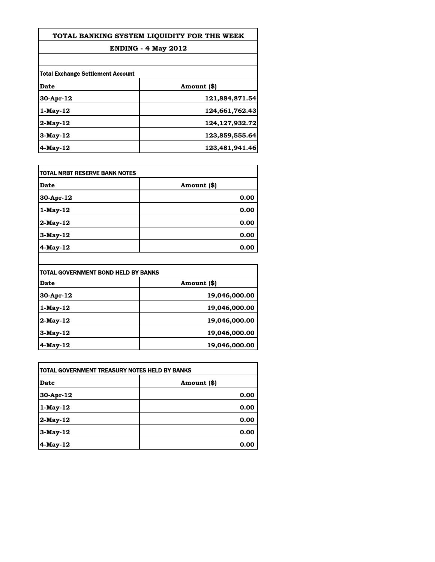| TOTAL BANKING SYSTEM LIOUIDITY FOR THE WEEK |                   |
|---------------------------------------------|-------------------|
| <b>ENDING - 4 May 2012</b>                  |                   |
|                                             |                   |
| Date                                        | Amount (\$)       |
| $30-Apr-12$                                 | 121,884,871.54    |
| $1-Mav-12$                                  | 124,661,762.43    |
| $2$ -May-12                                 | 124, 127, 932. 72 |
| $3-Mav-12$                                  | 123,859,555.64    |
| $4$ -May-12                                 | 123,481,941.46    |

| Date        | Amount (\$) |
|-------------|-------------|
| 30-Apr-12   | 0.00        |
| $1-May-12$  | 0.00        |
| $2$ -May-12 | 0.00        |
| $3-May-12$  | 0.00        |
| 4-May-12    | 0.00        |

| TOTAL GOVERNMENT BOND HELD BY BANKS |               |
|-------------------------------------|---------------|
| Date                                | Amount (\$)   |
| $30-Apr-12$                         | 19,046,000.00 |
| $1-May-12$                          | 19,046,000.00 |
| $2$ -May-12                         | 19,046,000.00 |
| $3-May-12$                          | 19,046,000.00 |
| $4$ -May-12                         | 19,046,000.00 |

| ITOTAL GOVERNMENT TREASURY NOTES HELD BY BANKS |             |
|------------------------------------------------|-------------|
| Date                                           | Amount (\$) |
| 30-Apr-12                                      | 0.00        |
| $1$ -May-12                                    | 0.00        |
| 2-May-12                                       | 0.00        |
| $3-May-12$                                     | 0.00        |
| 4-May-12                                       | 0.00        |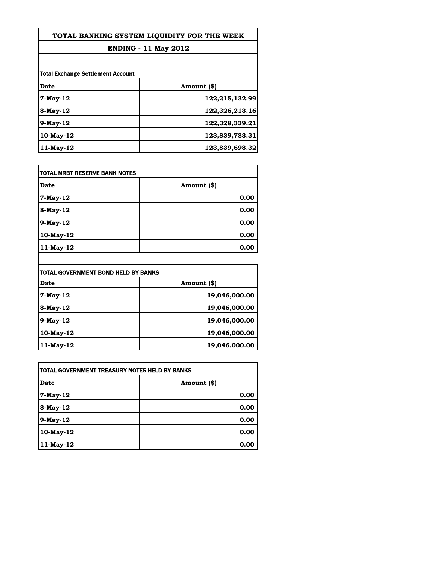# **TOTAL BANKING SYSTEM LIQUIDITY FOR THE WEEK**

## **ENDING - 11 May 2012**

| <b>Total Exchange Settlement Account</b> |                |
|------------------------------------------|----------------|
| Date                                     | Amount (\$)    |
| 7-May-12                                 | 122,215,132.99 |
| $8-May-12$                               | 122,326,213.16 |
| $9$ -May-12                              | 122,328,339.21 |
| 10-May-12                                | 123,839,783.31 |
| $11$ -May-12                             | 123,839,698.32 |

| <b>TOTAL NRBT RESERVE BANK NOTES</b> |             |
|--------------------------------------|-------------|
| <b>Date</b>                          | Amount (\$) |
| 7-May-12                             | 0.00        |
| 8-May-12                             | 0.00        |
| $9$ -May-12                          | 0.00        |
| $10$ -May- $12$                      | 0.00        |
| 11-May-12                            | 0.00        |

| TOTAL GOVERNMENT BOND HELD BY BANKS |               |
|-------------------------------------|---------------|
| Date                                | Amount (\$)   |
| $7-May-12$                          | 19,046,000.00 |
| $8-May-12$                          | 19,046,000.00 |
| $9$ -May-12                         | 19,046,000.00 |
| $10$ -May- $12$                     | 19,046,000.00 |
| $11$ -May- $12$                     | 19,046,000.00 |

| TOTAL GOVERNMENT TREASURY NOTES HELD BY BANKS |             |
|-----------------------------------------------|-------------|
| Date                                          | Amount (\$) |
| 7-May-12                                      | 0.00        |
| 8-May-12                                      | 0.00        |
| 9-May-12                                      | 0.00        |
| 10-May-12                                     | 0.00        |
| 11-May-12                                     | 0.00        |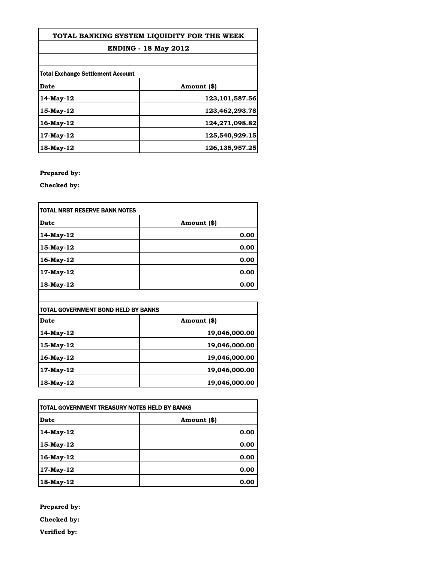#### **TOTAL BANKING SYSTEM LIQUIDITY FOR THE WEEK**

### **ENDING - 18 May 2012**

| <b>Total Exchange Settlement Account</b> |                   |
|------------------------------------------|-------------------|
|                                          |                   |
| 14-May-12                                | 123, 101, 587. 56 |
| 15-May-12                                | 123,462,293.78    |
| $16$ -May- $12$                          | 124,271,098.82    |
| 17-May-12                                | 125,540,929.15    |
| 18-May-12                                | 126, 135, 957. 25 |

**Prepared by:**

**Checked by:**

| <b>TOTAL NRBT RESERVE BANK NOTES</b> |             |
|--------------------------------------|-------------|
| Date                                 | Amount (\$) |
| 14-May-12                            | 0.00        |
| 15-May-12                            | 0.00        |
| 16-May-12                            | 0.00        |
| 17-May-12                            | 0.00        |
| 18-May-12                            | 0.00        |

| TOTAL GOVERNMENT BOND HELD BY BANKS |               |
|-------------------------------------|---------------|
| Date                                | Amount (\$)   |
| 14-May-12                           | 19,046,000.00 |
| 15-May-12                           | 19,046,000.00 |
| 16-May-12                           | 19,046,000.00 |
| 17-May-12                           | 19,046,000.00 |
| 18-May-12                           | 19,046,000.00 |

| TOTAL GOVERNMENT TREASURY NOTES HELD BY BANKS |             |
|-----------------------------------------------|-------------|
| Date                                          | Amount (\$) |
| 14-May-12                                     | 0.00        |
| 15-May-12                                     | 0.00        |
| 16-May-12                                     | 0.00        |
| 17-May-12                                     | 0.00        |
| 18-May-12                                     | 0.00        |

**Prepared by: Checked by: Verified by:**